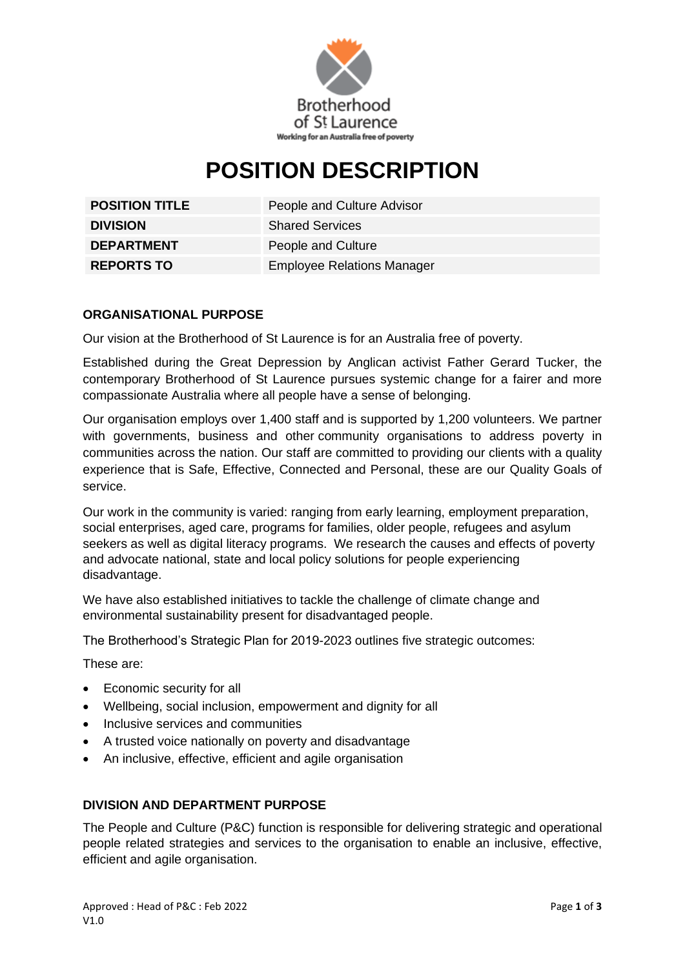

# **POSITION DESCRIPTION**

**DIVISION** Shared Services **DEPARTMENT** People and Culture

**POSITION TITLE** People and Culture Advisor **REPORTS TO** Employee Relations Manager

## **ORGANISATIONAL PURPOSE**

Our vision at the Brotherhood of St Laurence is for an Australia free of poverty.

Established during the Great Depression by Anglican activist Father Gerard Tucker, the contemporary Brotherhood of St Laurence pursues systemic change for a fairer and more compassionate Australia where all people have a sense of belonging.

Our organisation employs over 1,400 staff and is supported by 1,200 volunteers. We partner with governments, business and other community organisations to address poverty in communities across the nation. Our staff are committed to providing our clients with a quality experience that is Safe, Effective, Connected and Personal, these are our Quality Goals of service.

Our work in the community is varied: ranging from early learning, employment preparation, social enterprises, aged care, programs for families, older people, refugees and asylum seekers as well as digital literacy programs. We research the causes and effects of poverty and advocate national, state and local policy solutions for people experiencing disadvantage.

We have also established initiatives to tackle the challenge of climate change and environmental sustainability present for disadvantaged people.

The Brotherhood's Strategic Plan for 2019-2023 outlines five strategic outcomes:

These are:

- Economic security for all
- Wellbeing, social inclusion, empowerment and dignity for all
- Inclusive services and communities
- A trusted voice nationally on poverty and disadvantage
- An inclusive, effective, efficient and agile organisation

#### **DIVISION AND DEPARTMENT PURPOSE**

The People and Culture (P&C) function is responsible for delivering strategic and operational people related strategies and services to the organisation to enable an inclusive, effective, efficient and agile organisation.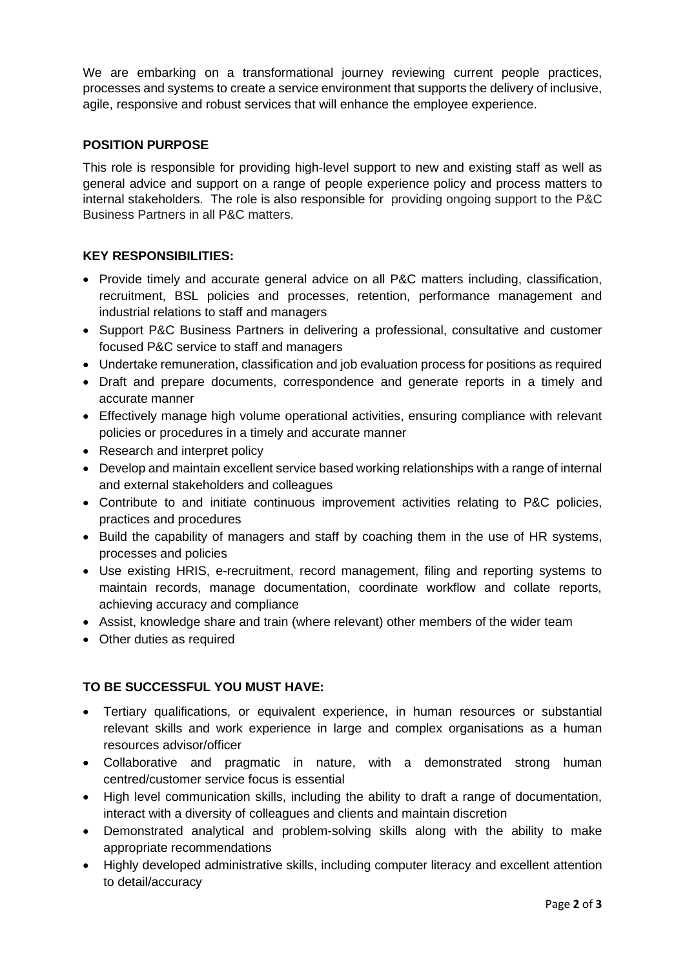We are embarking on a transformational journey reviewing current people practices, processes and systems to create a service environment that supports the delivery of inclusive, agile, responsive and robust services that will enhance the employee experience.

### **POSITION PURPOSE**

This role is responsible for providing high-level support to new and existing staff as well as general advice and support on a range of people experience policy and process matters to internal stakeholders. The role is also responsible for providing ongoing support to the P&C Business Partners in all P&C matters.

### **KEY RESPONSIBILITIES:**

- Provide timely and accurate general advice on all P&C matters including, classification, recruitment, BSL policies and processes, retention, performance management and industrial relations to staff and managers
- Support P&C Business Partners in delivering a professional, consultative and customer focused P&C service to staff and managers
- Undertake remuneration, classification and job evaluation process for positions as required
- Draft and prepare documents, correspondence and generate reports in a timely and accurate manner
- Effectively manage high volume operational activities, ensuring compliance with relevant policies or procedures in a timely and accurate manner
- Research and interpret policy
- Develop and maintain excellent service based working relationships with a range of internal and external stakeholders and colleagues
- Contribute to and initiate continuous improvement activities relating to P&C policies, practices and procedures
- Build the capability of managers and staff by coaching them in the use of HR systems, processes and policies
- Use existing HRIS, e-recruitment, record management, filing and reporting systems to maintain records, manage documentation, coordinate workflow and collate reports, achieving accuracy and compliance
- Assist, knowledge share and train (where relevant) other members of the wider team
- Other duties as required

# **TO BE SUCCESSFUL YOU MUST HAVE:**

- Tertiary qualifications, or equivalent experience, in human resources or substantial relevant skills and work experience in large and complex organisations as a human resources advisor/officer
- Collaborative and pragmatic in nature, with a demonstrated strong human centred/customer service focus is essential
- High level communication skills, including the ability to draft a range of documentation, interact with a diversity of colleagues and clients and maintain discretion
- Demonstrated analytical and problem-solving skills along with the ability to make appropriate recommendations
- Highly developed administrative skills, including computer literacy and excellent attention to detail/accuracy